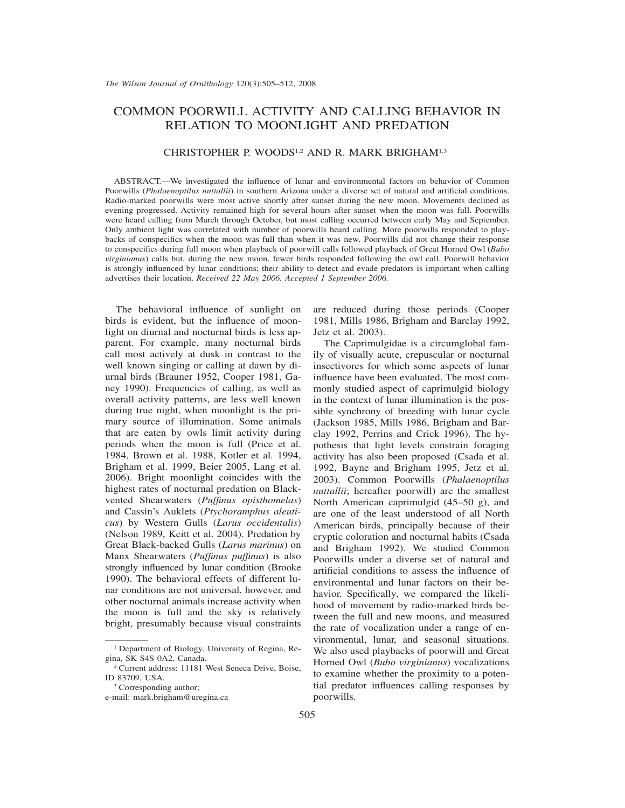# COMMON POORWILL ACTIVITY AND CALLING BEHAVIOR IN RELATION TO MOONLIGHT AND PREDATION

## CHRISTOPHER P. WOODS1,2 AND R. MARK BRIGHAM1,3

ABSTRACT.—We investigated the influence of lunar and environmental factors on behavior of Common Poorwills (*Phalaenoptilus nuttallii*) in southern Arizona under a diverse set of natural and artificial conditions. Radio-marked poorwills were most active shortly after sunset during the new moon. Movements declined as evening progressed. Activity remained high for several hours after sunset when the moon was full. Poorwills were heard calling from March through October, but most calling occurred between early May and September. Only ambient light was correlated with number of poorwills heard calling. More poorwills responded to playbacks of conspecifics when the moon was full than when it was new. Poorwills did not change their response to conspecifics during full moon when playback of poorwill calls followed playback of Great Horned Owl (*Bubo virginianus*) calls but, during the new moon, fewer birds responded following the owl call. Poorwill behavior is strongly influenced by lunar conditions; their ability to detect and evade predators is important when calling advertises their location. *Received 22 May 2006. Accepted 1 September 2006.*

The behavioral influence of sunlight on birds is evident, but the influence of moonlight on diurnal and nocturnal birds is less apparent. For example, many nocturnal birds call most actively at dusk in contrast to the well known singing or calling at dawn by diurnal birds (Brauner 1952, Cooper 1981, Ganey 1990). Frequencies of calling, as well as overall activity patterns, are less well known during true night, when moonlight is the primary source of illumination. Some animals that are eaten by owls limit activity during periods when the moon is full (Price et al. 1984, Brown et al. 1988, Kotler et al. 1994, Brigham et al. 1999, Beier 2005, Lang et al. 2006). Bright moonlight coincides with the highest rates of nocturnal predation on Blackvented Shearwaters (*Puffinus opisthomelas*) and Cassin's Auklets (*Ptychoramphus aleuticus*) by Western Gulls (*Larus occidentalis*) (Nelson 1989, Keitt et al. 2004). Predation by Great Black-backed Gulls (*Larus marinus*) on Manx Shearwaters (*Puffinus puffinus*) is also strongly influenced by lunar condition (Brooke 1990). The behavioral effects of different lunar conditions are not universal, however, and other nocturnal animals increase activity when the moon is full and the sky is relatively bright, presumably because visual constraints are reduced during those periods (Cooper 1981, Mills 1986, Brigham and Barclay 1992, Jetz et al. 2003).

The Caprimulgidae is a circumglobal family of visually acute, crepuscular or nocturnal insectivores for which some aspects of lunar influence have been evaluated. The most commonly studied aspect of caprimulgid biology in the context of lunar illumination is the possible synchrony of breeding with lunar cycle (Jackson 1985, Mills 1986, Brigham and Barclay 1992, Perrins and Crick 1996). The hypothesis that light levels constrain foraging activity has also been proposed (Csada et al. 1992, Bayne and Brigham 1995, Jetz et al. 2003). Common Poorwills (*Phalaenoptilus nuttallii*; hereafter poorwill) are the smallest North American caprimulgid (45–50 g), and are one of the least understood of all North American birds, principally because of their cryptic coloration and nocturnal habits (Csada and Brigham 1992). We studied Common Poorwills under a diverse set of natural and artificial conditions to assess the influence of environmental and lunar factors on their behavior. Specifically, we compared the likelihood of movement by radio-marked birds between the full and new moons, and measured the rate of vocalization under a range of environmental, lunar, and seasonal situations. We also used playbacks of poorwill and Great Horned Owl (*Bubo virginianus*) vocalizations to examine whether the proximity to a potential predator influences calling responses by poorwills.

<sup>&</sup>lt;sup>1</sup> Department of Biology, University of Regina, Regina, SK S4S 0A2, Canada.

<sup>2</sup> Current address: 11181 West Seneca Drive, Boise, ID 83709, USA.

<sup>&</sup>lt;sup>3</sup> Corresponding author;

e-mail: mark.brigham@uregina.ca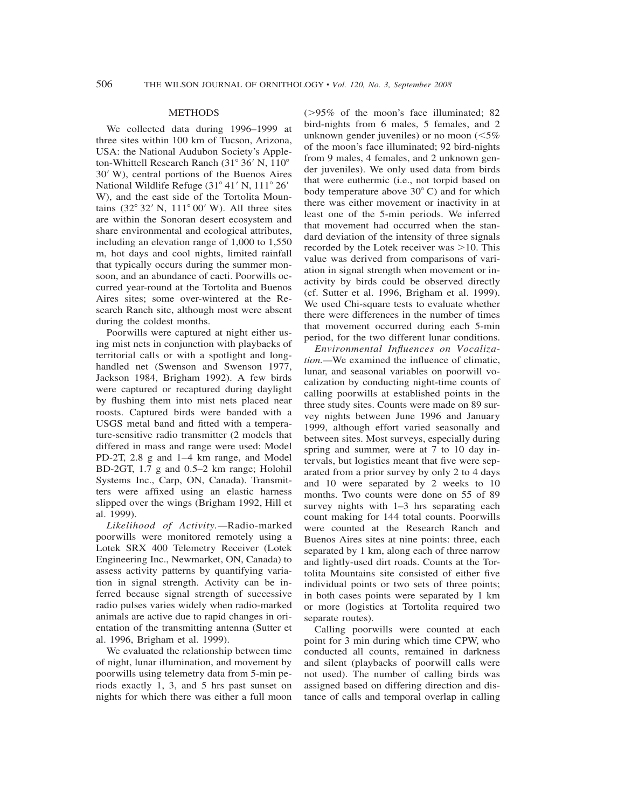### METHODS

We collected data during 1996–1999 at three sites within 100 km of Tucson, Arizona, USA: the National Audubon Society's Appleton-Whittell Research Ranch  $(31^{\circ} 36' N, 110^{\circ}$ 30 W), central portions of the Buenos Aires National Wildlife Refuge (31° 41' N, 111° 26' W), and the east side of the Tortolita Mountains  $(32^{\circ} 32' N, 111^{\circ} 00' W)$ . All three sites are within the Sonoran desert ecosystem and share environmental and ecological attributes, including an elevation range of 1,000 to 1,550 m, hot days and cool nights, limited rainfall that typically occurs during the summer monsoon, and an abundance of cacti. Poorwills occurred year-round at the Tortolita and Buenos Aires sites; some over-wintered at the Research Ranch site, although most were absent during the coldest months.

Poorwills were captured at night either using mist nets in conjunction with playbacks of territorial calls or with a spotlight and longhandled net (Swenson and Swenson 1977, Jackson 1984, Brigham 1992). A few birds were captured or recaptured during daylight by flushing them into mist nets placed near roosts. Captured birds were banded with a USGS metal band and fitted with a temperature-sensitive radio transmitter (2 models that differed in mass and range were used: Model PD-2T, 2.8 g and 1–4 km range, and Model BD-2GT, 1.7 g and 0.5–2 km range; Holohil Systems Inc., Carp, ON, Canada). Transmitters were affixed using an elastic harness slipped over the wings (Brigham 1992, Hill et al. 1999).

*Likelihood of Activity.—*Radio-marked poorwills were monitored remotely using a Lotek SRX 400 Telemetry Receiver (Lotek Engineering Inc., Newmarket, ON, Canada) to assess activity patterns by quantifying variation in signal strength. Activity can be inferred because signal strength of successive radio pulses varies widely when radio-marked animals are active due to rapid changes in orientation of the transmitting antenna (Sutter et al. 1996, Brigham et al. 1999).

We evaluated the relationship between time of night, lunar illumination, and movement by poorwills using telemetry data from 5-min periods exactly 1, 3, and 5 hrs past sunset on nights for which there was either a full moon ( $>95\%$  of the moon's face illuminated; 82 bird-nights from 6 males, 5 females, and 2 unknown gender juveniles) or no moon  $\left( \leq 5\right)$ of the moon's face illuminated; 92 bird-nights from 9 males, 4 females, and 2 unknown gender juveniles). We only used data from birds that were euthermic (i.e., not torpid based on body temperature above  $30^{\circ}$  C) and for which there was either movement or inactivity in at least one of the 5-min periods. We inferred that movement had occurred when the standard deviation of the intensity of three signals recorded by the Lotek receiver was  $>10$ . This value was derived from comparisons of variation in signal strength when movement or inactivity by birds could be observed directly (cf. Sutter et al. 1996, Brigham et al. 1999). We used Chi-square tests to evaluate whether there were differences in the number of times that movement occurred during each 5-min period, for the two different lunar conditions.

*Environmental Influences on Vocalization.—*We examined the influence of climatic, lunar, and seasonal variables on poorwill vocalization by conducting night-time counts of calling poorwills at established points in the three study sites. Counts were made on 89 survey nights between June 1996 and January 1999, although effort varied seasonally and between sites. Most surveys, especially during spring and summer, were at 7 to 10 day intervals, but logistics meant that five were separated from a prior survey by only 2 to 4 days and 10 were separated by 2 weeks to 10 months. Two counts were done on 55 of 89 survey nights with 1–3 hrs separating each count making for 144 total counts. Poorwills were counted at the Research Ranch and Buenos Aires sites at nine points: three, each separated by 1 km, along each of three narrow and lightly-used dirt roads. Counts at the Tortolita Mountains site consisted of either five individual points or two sets of three points; in both cases points were separated by 1 km or more (logistics at Tortolita required two separate routes).

Calling poorwills were counted at each point for 3 min during which time CPW, who conducted all counts, remained in darkness and silent (playbacks of poorwill calls were not used). The number of calling birds was assigned based on differing direction and distance of calls and temporal overlap in calling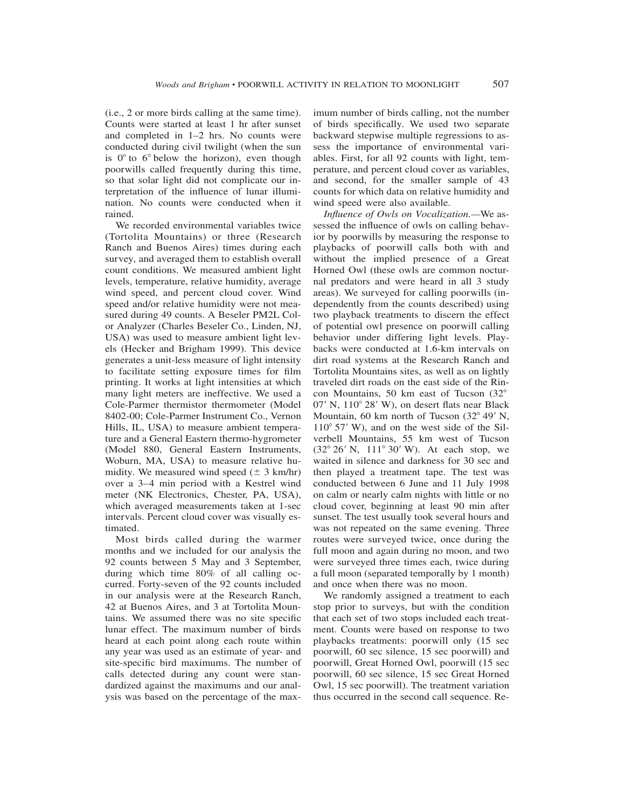(i.e., 2 or more birds calling at the same time). Counts were started at least 1 hr after sunset and completed in 1–2 hrs. No counts were conducted during civil twilight (when the sun is  $0^\circ$  to  $6^\circ$  below the horizon), even though poorwills called frequently during this time, so that solar light did not complicate our interpretation of the influence of lunar illumination. No counts were conducted when it rained.

We recorded environmental variables twice (Tortolita Mountains) or three (Research Ranch and Buenos Aires) times during each survey, and averaged them to establish overall count conditions. We measured ambient light levels, temperature, relative humidity, average wind speed, and percent cloud cover. Wind speed and/or relative humidity were not measured during 49 counts. A Beseler PM2L Color Analyzer (Charles Beseler Co., Linden, NJ, USA) was used to measure ambient light levels (Hecker and Brigham 1999). This device generates a unit-less measure of light intensity to facilitate setting exposure times for film printing. It works at light intensities at which many light meters are ineffective. We used a Cole-Parmer thermistor thermometer (Model 8402-00; Cole-Parmer Instrument Co., Vernon Hills, IL, USA) to measure ambient temperature and a General Eastern thermo-hygrometer (Model 880, General Eastern Instruments, Woburn, MA, USA) to measure relative humidity. We measured wind speed  $(\pm 3 \text{ km/hr})$ over a 3–4 min period with a Kestrel wind meter (NK Electronics, Chester, PA, USA), which averaged measurements taken at 1-sec intervals. Percent cloud cover was visually estimated.

Most birds called during the warmer months and we included for our analysis the 92 counts between 5 May and 3 September, during which time 80% of all calling occurred. Forty-seven of the 92 counts included in our analysis were at the Research Ranch, 42 at Buenos Aires, and 3 at Tortolita Mountains. We assumed there was no site specific lunar effect. The maximum number of birds heard at each point along each route within any year was used as an estimate of year- and site-specific bird maximums. The number of calls detected during any count were standardized against the maximums and our analysis was based on the percentage of the maximum number of birds calling, not the number of birds specifically. We used two separate backward stepwise multiple regressions to assess the importance of environmental variables. First, for all 92 counts with light, temperature, and percent cloud cover as variables, and second, for the smaller sample of 43 counts for which data on relative humidity and wind speed were also available.

*Influence of Owls on Vocalization.—*We assessed the influence of owls on calling behavior by poorwills by measuring the response to playbacks of poorwill calls both with and without the implied presence of a Great Horned Owl (these owls are common nocturnal predators and were heard in all 3 study areas). We surveyed for calling poorwills (independently from the counts described) using two playback treatments to discern the effect of potential owl presence on poorwill calling behavior under differing light levels. Playbacks were conducted at 1.6-km intervals on dirt road systems at the Research Ranch and Tortolita Mountains sites, as well as on lightly traveled dirt roads on the east side of the Rincon Mountains, 50 km east of Tucson (32- 07' N, 110° 28' W), on desert flats near Black Mountain, 60 km north of Tucson (32° 49' N,  $110^{\circ}$  57' W), and on the west side of the Silverbell Mountains, 55 km west of Tucson (32° 26' N, 111° 30' W). At each stop, we waited in silence and darkness for 30 sec and then played a treatment tape. The test was conducted between 6 June and 11 July 1998 on calm or nearly calm nights with little or no cloud cover, beginning at least 90 min after sunset. The test usually took several hours and was not repeated on the same evening. Three routes were surveyed twice, once during the full moon and again during no moon, and two were surveyed three times each, twice during a full moon (separated temporally by 1 month) and once when there was no moon.

We randomly assigned a treatment to each stop prior to surveys, but with the condition that each set of two stops included each treatment. Counts were based on response to two playbacks treatments: poorwill only (15 sec poorwill, 60 sec silence, 15 sec poorwill) and poorwill, Great Horned Owl, poorwill (15 sec poorwill, 60 sec silence, 15 sec Great Horned Owl, 15 sec poorwill). The treatment variation thus occurred in the second call sequence. Re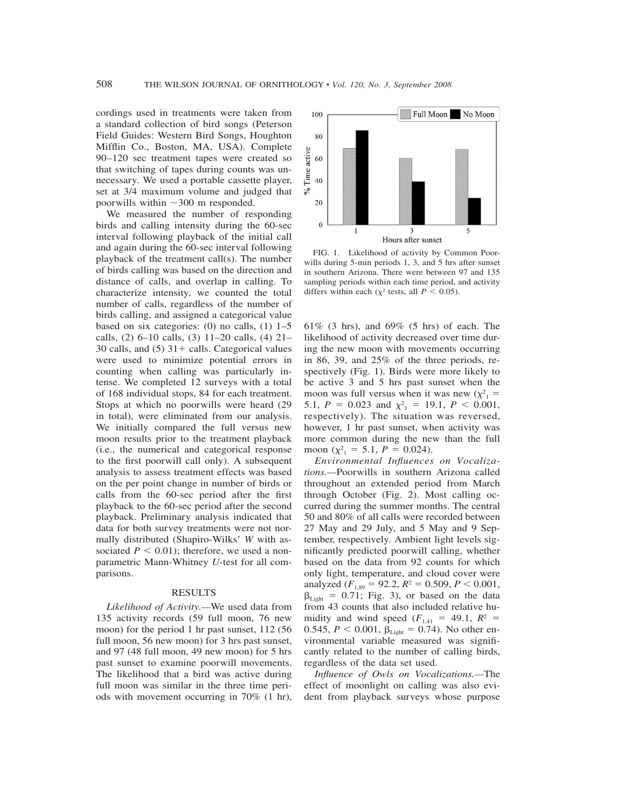cordings used in treatments were taken from a standard collection of bird songs (Peterson Field Guides: Western Bird Songs, Houghton Mifflin Co., Boston, MA, USA). Complete 90–120 sec treatment tapes were created so that switching of tapes during counts was unnecessary. We used a portable cassette player, set at 3/4 maximum volume and judged that poorwills within  $\sim$ 300 m responded.

We measured the number of responding birds and calling intensity during the 60-sec interval following playback of the initial call and again during the 60-sec interval following playback of the treatment call(s). The number of birds calling was based on the direction and distance of calls, and overlap in calling. To characterize intensity, we counted the total number of calls, regardless of the number of birds calling, and assigned a categorical value based on six categories:  $(0)$  no calls,  $(1)$  1–5 calls, (2) 6–10 calls, (3) 11–20 calls, (4) 21– 30 calls, and  $(5)$  31 + calls. Categorical values were used to minimize potential errors in counting when calling was particularly intense. We completed 12 surveys with a total of 168 individual stops, 84 for each treatment. Stops at which no poorwills were heard (29 in total), were eliminated from our analysis. We initially compared the full versus new moon results prior to the treatment playback (i.e., the numerical and categorical response to the first poorwill call only). A subsequent analysis to assess treatment effects was based on the per point change in number of birds or calls from the 60-sec period after the first playback to the 60-sec period after the second playback. Preliminary analysis indicated that data for both survey treatments were not normally distributed (Shapiro-Wilks' *W* with associated  $P < 0.01$ ); therefore, we used a nonparametric Mann-Whitney *U*-test for all comparisons.

## RESULTS

*Likelihood of Activity.—*We used data from 135 activity records (59 full moon, 76 new moon) for the period 1 hr past sunset, 112 (56 full moon, 56 new moon) for 3 hrs past sunset, and 97 (48 full moon, 49 new moon) for 5 hrs past sunset to examine poorwill movements. The likelihood that a bird was active during full moon was similar in the three time periods with movement occurring in 70% (1 hr),



FIG. 1. Likelihood of activity by Common Poorwills during 5-min periods 1, 3, and 5 hrs after sunset in southern Arizona. There were between 97 and 135 sampling periods within each time period, and activity differs within each ( $\chi^2$  tests, all *P* < 0.05).

61% (3 hrs), and 69% (5 hrs) of each. The likelihood of activity decreased over time during the new moon with movements occurring in 86, 39, and 25% of the three periods, respectively (Fig. 1). Birds were more likely to be active 3 and 5 hrs past sunset when the moon was full versus when it was new  $(\chi^2)$  = 5.1,  $P = 0.023$  and  $\chi^2 = 19.1$ ,  $P < 0.001$ , respectively). The situation was reversed, however, 1 hr past sunset, when activity was more common during the new than the full moon ( $\chi^2$ <sub>1</sub> = 5.1, *P* = 0.024).

*Environmental Influences on Vocalizations.—*Poorwills in southern Arizona called throughout an extended period from March through October (Fig. 2). Most calling occurred during the summer months. The central 50 and 80% of all calls were recorded between 27 May and 29 July, and 5 May and 9 September, respectively. Ambient light levels significantly predicted poorwill calling, whether based on the data from 92 counts for which only light, temperature, and cloud cover were analyzed  $(F_{1,89} = 92.2, R^2 = 0.509, P < 0.001,$  $\beta_{\text{Light}} = 0.71$ ; Fig. 3), or based on the data from 43 counts that also included relative humidity and wind speed  $(F_{1,41} = 49.1, R^2 =$ 0.545,  $P < 0.001$ ,  $\beta_{\text{Light}} = 0.74$ ). No other environmental variable measured was significantly related to the number of calling birds, regardless of the data set used.

*Influence of Owls on Vocalizations.—*The effect of moonlight on calling was also evident from playback surveys whose purpose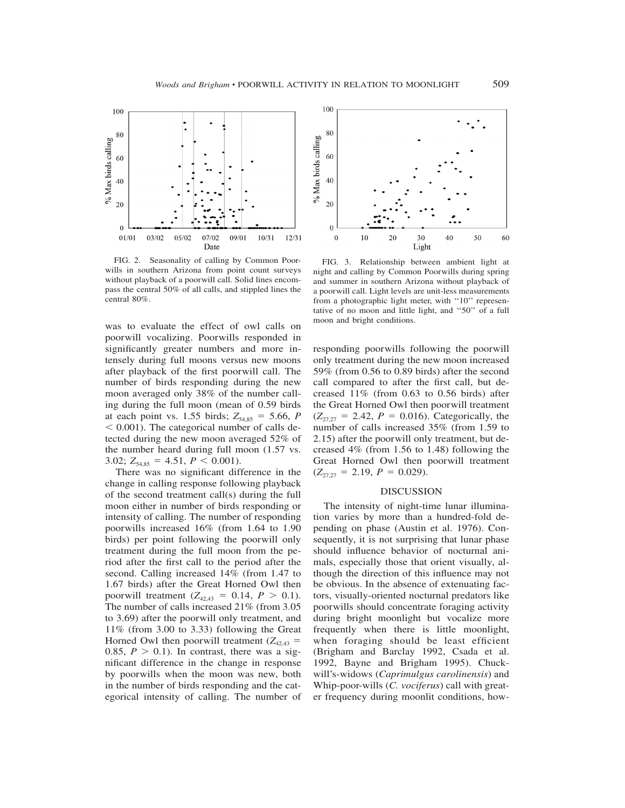

FIG. 2. Seasonality of calling by Common Poorwills in southern Arizona from point count surveys without playback of a poorwill call. Solid lines encompass the central 50% of all calls, and stippled lines the central 80%.

moon and bright conditions. was to evaluate the effect of owl calls on poorwill vocalizing. Poorwills responded in significantly greater numbers and more intensely during full moons versus new moons after playback of the first poorwill call. The number of birds responding during the new moon averaged only 38% of the number calling during the full moon (mean of 0.59 birds at each point vs. 1.55 birds;  $Z_{54,85} = 5.66$ , *P*  $0.001$ ). The categorical number of calls detected during the new moon averaged 52% of the number heard during full moon (1.57 vs. 3.02;  $Z_{54,85} = 4.51, P \le 0.001$ ).

There was no significant difference in the change in calling response following playback of the second treatment call(s) during the full moon either in number of birds responding or intensity of calling. The number of responding poorwills increased 16% (from 1.64 to 1.90 birds) per point following the poorwill only treatment during the full moon from the period after the first call to the period after the second. Calling increased 14% (from 1.47 to 1.67 birds) after the Great Horned Owl then poorwill treatment  $(Z_{42,43} = 0.14, P > 0.1)$ . The number of calls increased 21% (from 3.05 to 3.69) after the poorwill only treatment, and 11% (from 3.00 to 3.33) following the Great Horned Owl then poorwill treatment  $(Z_{42,43} =$ 0.85,  $P > 0.1$ ). In contrast, there was a significant difference in the change in response by poorwills when the moon was new, both in the number of birds responding and the categorical intensity of calling. The number of



FIG. 3. Relationship between ambient light at night and calling by Common Poorwills during spring and summer in southern Arizona without playback of a poorwill call. Light levels are unit-less measurements from a photographic light meter, with "10" representative of no moon and little light, and ''50'' of a full

responding poorwills following the poorwill only treatment during the new moon increased 59% (from 0.56 to 0.89 birds) after the second call compared to after the first call, but decreased 11% (from 0.63 to 0.56 birds) after the Great Horned Owl then poorwill treatment  $(Z_{27,27} = 2.42, P = 0.016)$ . Categorically, the number of calls increased 35% (from 1.59 to 2.15) after the poorwill only treatment, but decreased 4% (from 1.56 to 1.48) following the Great Horned Owl then poorwill treatment  $(Z_{27,27} = 2.19, P = 0.029).$ 

#### DISCUSSION

The intensity of night-time lunar illumination varies by more than a hundred-fold depending on phase (Austin et al. 1976). Consequently, it is not surprising that lunar phase should influence behavior of nocturnal animals, especially those that orient visually, although the direction of this influence may not be obvious. In the absence of extenuating factors, visually-oriented nocturnal predators like poorwills should concentrate foraging activity during bright moonlight but vocalize more frequently when there is little moonlight, when foraging should be least efficient (Brigham and Barclay 1992, Csada et al. 1992, Bayne and Brigham 1995). Chuckwill's-widows (*Caprimulgus carolinensis*) and Whip-poor-wills (*C. vociferus*) call with greater frequency during moonlit conditions, how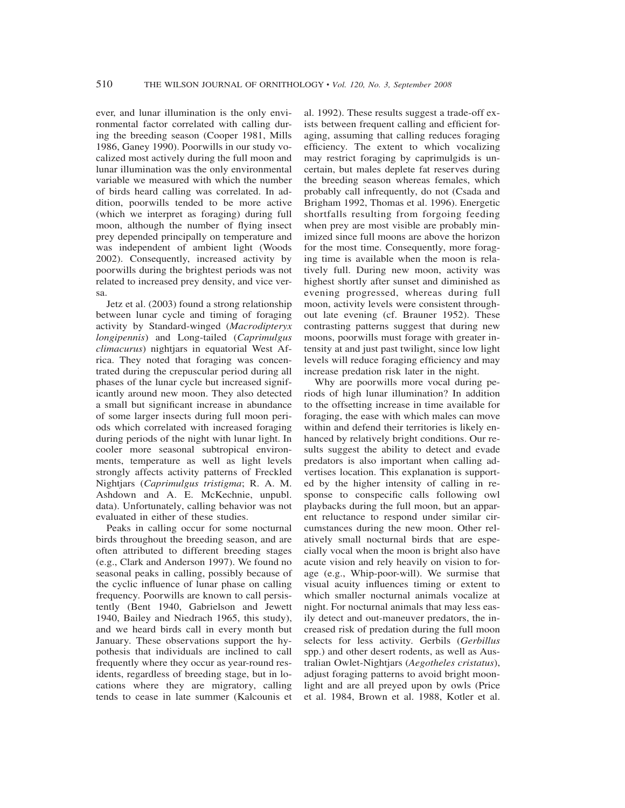ever, and lunar illumination is the only environmental factor correlated with calling during the breeding season (Cooper 1981, Mills 1986, Ganey 1990). Poorwills in our study vocalized most actively during the full moon and lunar illumination was the only environmental variable we measured with which the number of birds heard calling was correlated. In addition, poorwills tended to be more active (which we interpret as foraging) during full moon, although the number of flying insect prey depended principally on temperature and was independent of ambient light (Woods 2002). Consequently, increased activity by poorwills during the brightest periods was not related to increased prey density, and vice versa.

Jetz et al. (2003) found a strong relationship between lunar cycle and timing of foraging activity by Standard-winged (*Macrodipteryx longipennis*) and Long-tailed (*Caprimulgus climacurus*) nightjars in equatorial West Africa. They noted that foraging was concentrated during the crepuscular period during all phases of the lunar cycle but increased significantly around new moon. They also detected a small but significant increase in abundance of some larger insects during full moon periods which correlated with increased foraging during periods of the night with lunar light. In cooler more seasonal subtropical environments, temperature as well as light levels strongly affects activity patterns of Freckled Nightjars (*Caprimulgus tristigma*; R. A. M. Ashdown and A. E. McKechnie, unpubl. data). Unfortunately, calling behavior was not evaluated in either of these studies.

Peaks in calling occur for some nocturnal birds throughout the breeding season, and are often attributed to different breeding stages (e.g., Clark and Anderson 1997). We found no seasonal peaks in calling, possibly because of the cyclic influence of lunar phase on calling frequency. Poorwills are known to call persistently (Bent 1940, Gabrielson and Jewett 1940, Bailey and Niedrach 1965, this study), and we heard birds call in every month but January. These observations support the hypothesis that individuals are inclined to call frequently where they occur as year-round residents, regardless of breeding stage, but in locations where they are migratory, calling tends to cease in late summer (Kalcounis et

al. 1992). These results suggest a trade-off exists between frequent calling and efficient foraging, assuming that calling reduces foraging efficiency. The extent to which vocalizing may restrict foraging by caprimulgids is uncertain, but males deplete fat reserves during the breeding season whereas females, which probably call infrequently, do not (Csada and Brigham 1992, Thomas et al. 1996). Energetic shortfalls resulting from forgoing feeding when prey are most visible are probably minimized since full moons are above the horizon for the most time. Consequently, more foraging time is available when the moon is relatively full. During new moon, activity was highest shortly after sunset and diminished as evening progressed, whereas during full moon, activity levels were consistent throughout late evening (cf. Brauner 1952). These contrasting patterns suggest that during new moons, poorwills must forage with greater intensity at and just past twilight, since low light levels will reduce foraging efficiency and may increase predation risk later in the night.

Why are poorwills more vocal during periods of high lunar illumination? In addition to the offsetting increase in time available for foraging, the ease with which males can move within and defend their territories is likely enhanced by relatively bright conditions. Our results suggest the ability to detect and evade predators is also important when calling advertises location. This explanation is supported by the higher intensity of calling in response to conspecific calls following owl playbacks during the full moon, but an apparent reluctance to respond under similar circumstances during the new moon. Other relatively small nocturnal birds that are especially vocal when the moon is bright also have acute vision and rely heavily on vision to forage (e.g., Whip-poor-will). We surmise that visual acuity influences timing or extent to which smaller nocturnal animals vocalize at night. For nocturnal animals that may less easily detect and out-maneuver predators, the increased risk of predation during the full moon selects for less activity. Gerbils (*Gerbillus* spp.) and other desert rodents, as well as Australian Owlet-Nightjars (*Aegotheles cristatus*), adjust foraging patterns to avoid bright moonlight and are all preyed upon by owls (Price et al. 1984, Brown et al. 1988, Kotler et al.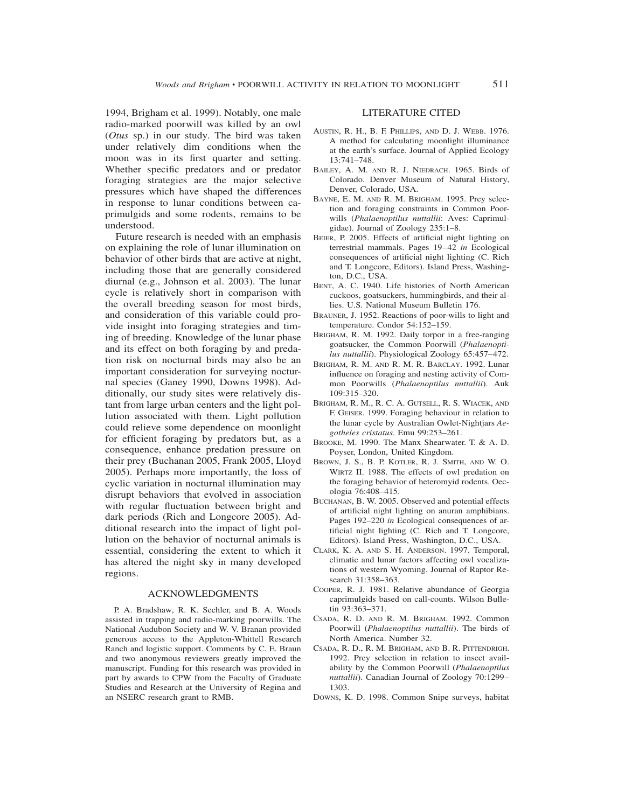1994, Brigham et al. 1999). Notably, one male radio-marked poorwill was killed by an owl (*Otus* sp.) in our study. The bird was taken under relatively dim conditions when the moon was in its first quarter and setting. Whether specific predators and or predator foraging strategies are the major selective pressures which have shaped the differences in response to lunar conditions between caprimulgids and some rodents, remains to be understood.

Future research is needed with an emphasis on explaining the role of lunar illumination on behavior of other birds that are active at night, including those that are generally considered diurnal (e.g., Johnson et al. 2003). The lunar cycle is relatively short in comparison with the overall breeding season for most birds, and consideration of this variable could provide insight into foraging strategies and timing of breeding. Knowledge of the lunar phase and its effect on both foraging by and predation risk on nocturnal birds may also be an important consideration for surveying nocturnal species (Ganey 1990, Downs 1998). Additionally, our study sites were relatively distant from large urban centers and the light pollution associated with them. Light pollution could relieve some dependence on moonlight for efficient foraging by predators but, as a consequence, enhance predation pressure on their prey (Buchanan 2005, Frank 2005, Lloyd 2005). Perhaps more importantly, the loss of cyclic variation in nocturnal illumination may disrupt behaviors that evolved in association with regular fluctuation between bright and dark periods (Rich and Longcore 2005). Additional research into the impact of light pollution on the behavior of nocturnal animals is essential, considering the extent to which it has altered the night sky in many developed regions.

#### ACKNOWLEDGMENTS

P. A. Bradshaw, R. K. Sechler, and B. A. Woods assisted in trapping and radio-marking poorwills. The National Audubon Society and W. V. Branan provided generous access to the Appleton-Whittell Research Ranch and logistic support. Comments by C. E. Braun and two anonymous reviewers greatly improved the manuscript. Funding for this research was provided in part by awards to CPW from the Faculty of Graduate Studies and Research at the University of Regina and an NSERC research grant to RMB.

## LITERATURE CITED

- AUSTIN, R. H., B. F. PHILLIPS, AND D. J. WEBB. 1976. A method for calculating moonlight illuminance at the earth's surface. Journal of Applied Ecology 13:741–748.
- BAILEY, A. M. AND R. J. NIEDRACH. 1965. Birds of Colorado. Denver Museum of Natural History, Denver, Colorado, USA.
- BAYNE, E. M. AND R. M. BRIGHAM. 1995. Prey selection and foraging constraints in Common Poorwills (*Phalaenoptilus nuttallii*: Aves: Caprimulgidae). Journal of Zoology 235:1–8.
- BEIER, P. 2005. Effects of artificial night lighting on terrestrial mammals. Pages 19–42 *in* Ecological consequences of artificial night lighting (C. Rich and T. Longcore, Editors). Island Press, Washington, D.C., USA.
- BENT, A. C. 1940. Life histories of North American cuckoos, goatsuckers, hummingbirds, and their allies. U.S. National Museum Bulletin 176.
- BRAUNER, J. 1952. Reactions of poor-wills to light and temperature. Condor 54:152–159.
- BRIGHAM, R. M. 1992. Daily torpor in a free-ranging goatsucker, the Common Poorwill (*Phalaenoptilus nuttallii*). Physiological Zoology 65:457–472.
- BRIGHAM, R. M. AND R. M. R. BARCLAY. 1992. Lunar influence on foraging and nesting activity of Common Poorwills (*Phalaenoptilus nuttallii*). Auk 109:315–320.
- BRIGHAM, R. M., R. C. A. GUTSELL, R. S. WIACEK, AND F. GEISER. 1999. Foraging behaviour in relation to the lunar cycle by Australian Owlet-Nightjars *Aegotheles cristatus*. Emu 99:253–261.
- BROOKE, M. 1990. The Manx Shearwater. T. & A. D. Poyser, London, United Kingdom.
- BROWN, J. S., B. P. KOTLER, R. J. SMITH, AND W. O. WIRTZ II. 1988. The effects of owl predation on the foraging behavior of heteromyid rodents. Oecologia 76:408–415.
- BUCHANAN, B. W. 2005. Observed and potential effects of artificial night lighting on anuran amphibians. Pages 192–220 *in* Ecological consequences of artificial night lighting (C. Rich and T. Longcore, Editors). Island Press, Washington, D.C., USA.
- CLARK, K. A. AND S. H. ANDERSON. 1997. Temporal, climatic and lunar factors affecting owl vocalizations of western Wyoming. Journal of Raptor Research 31:358–363.
- COOPER, R. J. 1981. Relative abundance of Georgia caprimulgids based on call-counts. Wilson Bulletin 93:363–371.
- CSADA, R. D. AND R. M. BRIGHAM. 1992. Common Poorwill (*Phalaenoptilus nuttallii*). The birds of North America. Number 32.
- CSADA, R. D., R. M. BRIGHAM, AND B. R. PITTENDRIGH. 1992. Prey selection in relation to insect availability by the Common Poorwill (*Phalaenoptilus nuttallii*). Canadian Journal of Zoology 70:1299– 1303.
- DOWNS, K. D. 1998. Common Snipe surveys, habitat